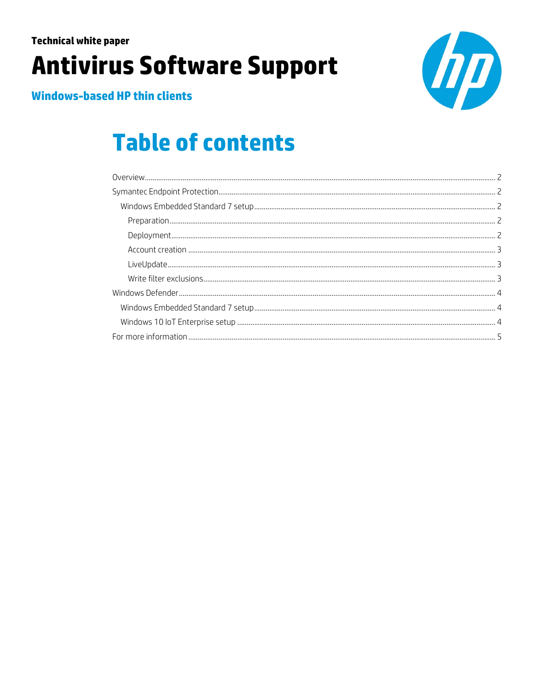## **Technical white paper Antivirus Software Support**



**Windows-based HP thin clients** 

# **Table of contents**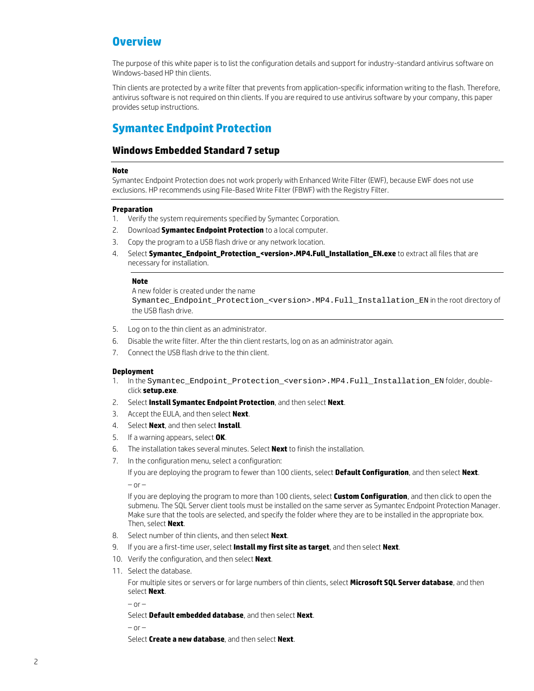## <span id="page-1-0"></span>**Overview**

The purpose of this white paper is to list the configuration details and support for industry-standard antivirus software on Windows-based HP thin clients.

Thin clients are protected by a write filter that prevents from application-specific information writing to the flash. Therefore, antivirus software is not required on thin clients. If you are required to use antivirus software by your company, this paper provides setup instructions.

## <span id="page-1-1"></span>**Symantec Endpoint Protection**

### <span id="page-1-2"></span>**Windows Embedded Standard 7 setup**

#### **Note**

Symantec Endpoint Protection does not work properly with Enhanced Write Filter (EWF), because EWF does not use exclusions. HP recommends using File-Based Write Filter (FBWF) with the Registry Filter.

#### <span id="page-1-3"></span>**Preparation**

- 1. Verify the system requirements specified by Symantec Corporation.
- 2. Download **Symantec Endpoint Protection** to a local computer.
- 3. Copy the program to a USB flash drive or any network location.
- 4. Select **Symantec\_Endpoint\_Protection\_<version>.MP4.Full\_Installation\_EN.exe** to extract all files that are necessary for installation.

#### **Note**

A new folder is created under the name Symantec\_Endpoint\_Protection\_<version>.MP4.Full\_Installation\_EN in the root directory of the USB flash drive.

- 5. Log on to the thin client as an administrator.
- 6. Disable the write filter. After the thin client restarts, log on as an administrator again.
- 7. Connect the USB flash drive to the thin client.

#### <span id="page-1-4"></span>**Deployment**

- 1. In the Symantec\_Endpoint\_Protection\_<version>.MP4.Full\_Installation\_EN folder, doubleclick **setup.exe**.
- 2. Select **Install Symantec Endpoint Protection**, and then select **Next**.
- 3. Accept the EULA, and then select **Next**.
- 4. Select **Next**, and then select **Install**.
- 5. If a warning appears, select **OK**.
- 6. The installation takes several minutes. Select **Next** to finish the installation.
- 7. In the configuration menu, select a configuration:

If you are deploying the program to fewer than 100 clients, select **Default Configuration**, and then select **Next**.  $-$  or  $-$ 

If you are deploying the program to more than 100 clients, select **Custom Configuration**, and then click to open the submenu. The SQL Server client tools must be installed on the same server as Symantec Endpoint Protection Manager. Make sure that the tools are selected, and specify the folder where they are to be installed in the appropriate box. Then, select **Next**.

- 8. Select number of thin clients, and then select **Next**.
- 9. If you are a first-time user, select **Install my first site as target**, and then select **Next**.
- 10. Verify the configuration, and then select **Next**.
- 11. Select the database.

For multiple sites or servers or for large numbers of thin clients, select **Microsoft SQL Server database**, and then select **Next**.

– or –

Select **Default embedded database**, and then select **Next**.

 $-$  or  $-$ 

Select **Create a new database**, and then select **Next**.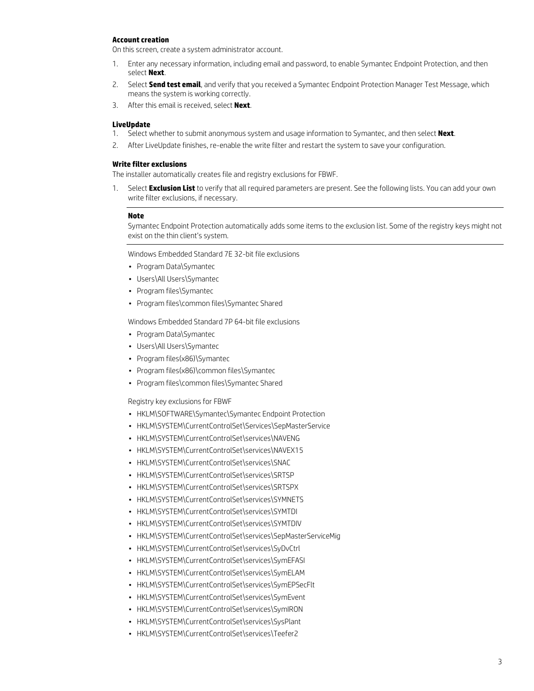#### <span id="page-2-0"></span>**Account creation**

On this screen, create a system administrator account.

- 1. Enter any necessary information, including email and password, to enable Symantec Endpoint Protection, and then select **Next**.
- 2. Select **Send test email**, and verify that you received a Symantec Endpoint Protection Manager Test Message, which means the system is working correctly.
- 3. After this email is received, select **Next**.

#### <span id="page-2-1"></span>**LiveUpdate**

- 1. Select whether to submit anonymous system and usage information to Symantec, and then select **Next**.
- 2. After LiveUpdate finishes, re-enable the write filter and restart the system to save your configuration.

#### <span id="page-2-2"></span>**Write filter exclusions**

The installer automatically creates file and registry exclusions for FBWF.

1. Select **Exclusion List** to verify that all required parameters are present. See the following lists. You can add your own write filter exclusions, if necessary.

#### **Note**

Symantec Endpoint Protection automatically adds some items to the exclusion list. Some of the registry keys might not exist on the thin client's system.

Windows Embedded Standard 7E 32-bit file exclusions

- Program Data\Symantec
- Users\All Users\Symantec
- Program files\Symantec
- Program files\common files\Symantec Shared

Windows Embedded Standard 7P 64-bit file exclusions

- Program Data\Symantec
- Users\All Users\Symantec
- Program files(x86)\Symantec
- Program files(x86)\common files\Symantec
- Program files\common files\Symantec Shared

Registry key exclusions for FBWF

- HKLM\SOFTWARE\Symantec\Symantec Endpoint Protection
- HKLM\SYSTEM\CurrentControlSet\Services\SepMasterService
- HKLM\SYSTEM\CurrentControlSet\services\NAVENG
- HKLM\SYSTEM\CurrentControlSet\services\NAVEX15
- HKLM\SYSTEM\CurrentControlSet\services\SNAC
- HKLM\SYSTEM\CurrentControlSet\services\SRTSP
- HKLM\SYSTEM\CurrentControlSet\services\SRTSPX
- HKLM\SYSTEM\CurrentControlSet\services\SYMNETS
- HKLM\SYSTEM\CurrentControlSet\services\SYMTDI
- HKLM\SYSTEM\CurrentControlSet\services\SYMTDIV
- HKLM\SYSTEM\CurrentControlSet\services\SepMasterServiceMig
- HKLM\SYSTEM\CurrentControlSet\services\SyDvCtrl
- HKLM\SYSTEM\CurrentControlSet\services\SymEFASI
- HKLM\SYSTEM\CurrentControlSet\services\SymELAM
- HKLM\SYSTEM\CurrentControlSet\services\SymEPSecFlt
- HKLM\SYSTEM\CurrentControlSet\services\SymEvent
- HKLM\SYSTEM\CurrentControlSet\services\SymIRON
- HKLM\SYSTEM\CurrentControlSet\services\SysPlant
- HKLM\SYSTEM\CurrentControlSet\services\Teefer2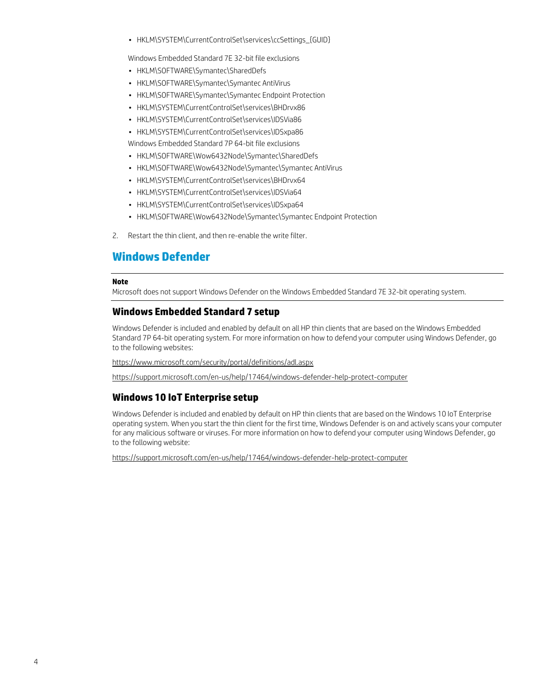• HKLM\SYSTEM\CurrentControlSet\services\ccSettings\_{GUID}

Windows Embedded Standard 7E 32-bit file exclusions

- HKLM\SOFTWARE\Symantec\SharedDefs
- HKLM\SOFTWARE\Symantec\Symantec AntiVirus
- HKLM\SOFTWARE\Symantec\Symantec Endpoint Protection
- HKLM\SYSTEM\CurrentControlSet\services\BHDrvx86
- HKLM\SYSTEM\CurrentControlSet\services\IDSVia86
- HKLM\SYSTEM\CurrentControlSet\services\IDSxpa86

Windows Embedded Standard 7P 64-bit file exclusions

- HKLM\SOFTWARE\Wow6432Node\Symantec\SharedDefs
- HKLM\SOFTWARE\Wow6432Node\Symantec\Symantec AntiVirus
- HKLM\SYSTEM\CurrentControlSet\services\BHDrvx64
- HKLM\SYSTEM\CurrentControlSet\services\IDSVia64
- HKLM\SYSTEM\CurrentControlSet\services\IDSxpa64
- HKLM\SOFTWARE\Wow6432Node\Symantec\Symantec Endpoint Protection
- 2. Restart the thin client, and then re-enable the write filter.

## <span id="page-3-0"></span>**Windows Defender**

#### **Note**

Microsoft does not support Windows Defender on the Windows Embedded Standard 7E 32-bit operating system.

#### <span id="page-3-1"></span>**Windows Embedded Standard 7 setup**

Windows Defender is included and enabled by default on all HP thin clients that are based on the Windows Embedded Standard 7P 64-bit operating system. For more information on how to defend your computer using Windows Defender, go to the following websites:

<https://www.microsoft.com/security/portal/definitions/adl.aspx>

<https://support.microsoft.com/en-us/help/17464/windows-defender-help-protect-computer>

#### <span id="page-3-2"></span>**Windows 10 IoT Enterprise setup**

Windows Defender is included and enabled by default on HP thin clients that are based on the Windows 10 IoT Enterprise operating system. When you start the thin client for the first time, Windows Defender is on and actively scans your computer for any malicious software or viruses. For more information on how to defend your computer using Windows Defender, go to the following website:

<https://support.microsoft.com/en-us/help/17464/windows-defender-help-protect-computer>